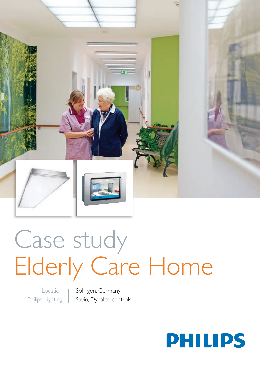

# Case study Elderly Care Home

Location Philips Lighting Solingen, Germany Savio, Dynalite controls

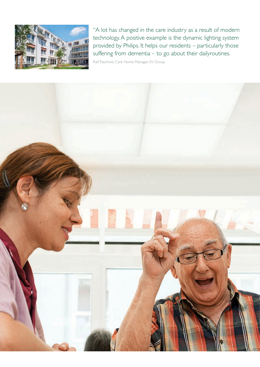

"A lot has changed in the care industry as a result of modern technology. A positive example is the dynamic lighting system provided by Philips. It helps our residents – particularly those suffering from dementia – to go about their dailyroutines.

Ralf Paschold, Care Home Manager, SV Group

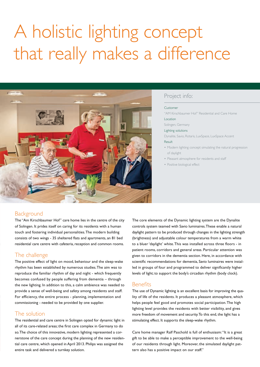# A holistic lighting concept that really makes a difference



# Project info:

#### Customer

"AM Kirschbaumer Hof" Residential and Care Home Location

Solingen, Germany

#### Lighting solutions

Dynalite, Savio, Rotaris, LuxSpace, LuxSpace Accent Result

- Modern lighting concept simulating the natural progression of daylight
- Pleasant atmosphere for residents and staff
- Positive biological effect

# **Background**

The "Am Kirschbaumer Hof" care home lies in the centre of the city of Solingen. It prides itself on caring for its residents with a human touch and fostering individual personalities. The modern building consists of two wings - 35 sheltered flats and apartments, an 81 bed residential care centre with cafeteria, reception and common rooms.

## The challenge

The positive effect of light on mood, behaviour and the sleep-wake rhythm has been established by numerous studies. The aim was to reproduce the familiar rhythm of day and night - which frequently becomes confused by people suffering from dementia – through the new lighting. In addition to this, a calm ambience was needed to provide a sense of well-being and safety among residents and staff. For efficiency, the entire process - planning, implementation and commissioning - needed to be provided by one supplier.

# The solution

The residential and care centre in Solingen opted for dynamic light in all of its care-related areas; the first care complex in Germany to do so. The choice of this innovative, modern lighting represented a cornerstone of the care concept during the planning of the new residential care centre, which opened in April 2013. Philips was assigned the entire task and delivered a turnkey solution.

The core elements of the Dynamic lighting system are the Dynalite controls system teamed with Savio luminaires. These enable a natural daylight pattern to be produced through changes in the lighting strength (brightness) and adjustable colour temperatures from a warm white to a bluer 'daylight' white. This was installed across three floors - in patient rooms, corridors and general areas. Particular attention was given to corridors in the dementia section. Here, in accordance with scientific recommendations for dementia, Savio luminaires were installed in groups of four and programmed to deliver significantly higher levels of light; to support the body's circadian rhythm (body clock).

### Benefits

The use of Dynamic lighting is an excellent basis for improving the quality of life of the residents. It produces a pleasant atmosphere, which helps people feel good and promotes social participation. The high lighting level provides the residents with better visibility, and gives more freedom of movement and security. To this end, the light has a stimulating effect. It supports the sleep-wake rhythm.

Care home manager Ralf Paschold is full of enthusiasm: "It is a great gift to be able to make a perceptible improvement to the well-being of our residents through light. Moreover, the simulated daylight pattern also has a positive impact on our staff."